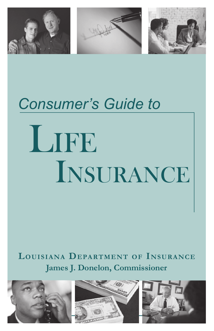

# LIFE *Consumer's Guide to*  Insurance

#### **Louisiana Department of Insurance James J. Donelon, Commissioner**





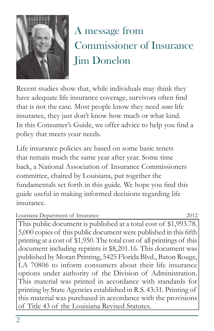

## A message from Commissioner of Insurance **Jim Donelon**

Recent studies show that, while individuals may think they have adequate life insurance coverage, survivors often find that is not the case. Most people know they need *some* life insurance, they just don't know how much or what kind. In this Consumer's Guide, we offer advice to help you find a policy that meets your needs.

Life insurance policies are based on some basic tenets that remain much the same year after year. Some time back, a National Association of Insurance Commissioners committee, chaired by Louisiana, put together the fundamentals set forth in this guide. We hope you find this guide useful in making informed decisions regarding life insurance.

| Louisiana Department of Insurance |  |
|-----------------------------------|--|
|-----------------------------------|--|

This public document is published at a total cost of \$1,993.78. 5,000 copies of this public document were published in this fifth printing at a cost of \$1,950. The total cost of all printings of this document including reprints is \$8,201.16. This document was published by Moran Printing, 5425 Florida Blvd., Baton Rouge, LA 70806 to inform consumers about their life insurance options under authority of the Division of Administration. This material was printed in accordance with standards for printing by State Agencies established in R.S. 43:31. Printing of this material was purchased in accordance with the provisions of Title 43 of the Louisiana Revised Statutes.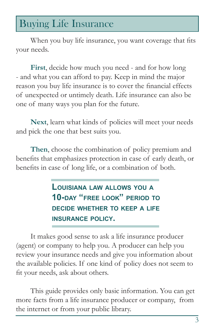## Buying Life Insurance

When you buy life insurance, you want coverage that fits your needs.

**First**, decide how much you need - and for how long - and what you can afford to pay. Keep in mind the major reason you buy life insurance is to cover the financial effects of unexpected or untimely death. Life insurance can also be one of many ways you plan for the future.

**Next**, learn what kinds of policies will meet your needs and pick the one that best suits you.

**Then**, choose the combination of policy premium and benefits that emphasizes protection in case of early death, or benefits in case of long life, or a combination of both.

> **Louisiana law allows you <sup>a</sup> 10-day "free look" period to decide whether to keep a life insurance policy.**

It makes good sense to ask a life insurance producer (agent) or company to help you. A producer can help you review your insurance needs and give you information about the available policies. If one kind of policy does not seem to fit your needs, ask about others.

This guide provides only basic information. You can get more facts from a life insurance producer or company, from the internet or from your public library.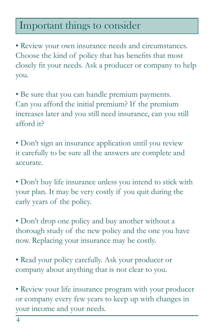## Important things to consider

• Review your own insurance needs and circumstances. Choose the kind of policy that has benefits that most closely fit your needs. Ask a producer or company to help you.

• Be sure that you can handle premium payments. Can you afford the initial premium? If the premium increases later and you still need insurance, can you still afford it?

• Don't sign an insurance application until you review it carefully to be sure all the answers are complete and accurate.

• Don't buy life insurance unless you intend to stick with your plan. It may be very costly if you quit during the early years of the policy.

• Don't drop one policy and buy another without a thorough study of the new policy and the one you have now. Replacing your insurance may be costly.

• Read your policy carefully. Ask your producer or company about anything that is not clear to you.

• Review your life insurance program with your producer or company every few years to keep up with changes in your income and your needs.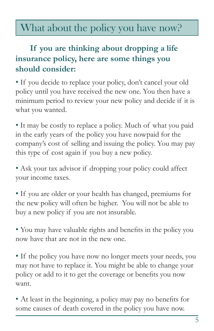## What about the policy you have now?

#### **If you are thinking about dropping a life insurance policy, here are some things you should consider:**

• If you decide to replace your policy, don't cancel your old policy until you have received the new one. You then have a minimum period to review your new policy and decide if it is what you wanted.

• It may be costly to replace a policy. Much of what you paid in the early years of the policy you have nowpaid for the company's cost of selling and issuing the policy. You may pay this type of cost again if you buy a new policy.

• Ask your tax advisor if dropping your policy could affect your income taxes.

• If you are older or your health has changed, premiums for the new policy will often be higher. You will not be able to buy a new policy if you are not insurable.

• You may have valuable rights and benefits in the policy you now have that are not in the new one.

• If the policy you have now no longer meets your needs, you may not have to replace it. You might be able to change your policy or add to it to get the coverage or benefits you now want.

• At least in the beginning, a policy may pay no benefits for some causes of death covered in the policy you have now.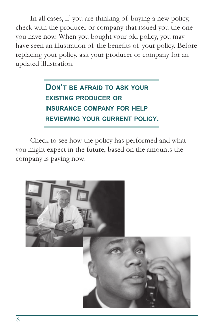In all cases, if you are thinking of buying a new policy, check with the producer or company that issued you the one you have now. When you bought your old policy, you may have seen an illustration of the benefits of your policy. Before replacing your policy, ask your producer or company for an updated illustration.

#### **Don't be afraid to ask your existing producer or insurance company for help reviewing your current policy.**

Check to see how the policy has performed and what you might expect in the future, based on the amounts the company is paying now.

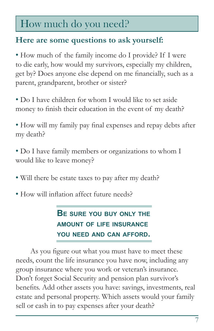## How much do you need?

#### **Here are some questions to ask yourself:**

• How much of the family income do I provide? If I were to die early, how would my survivors, especially my children, get by? Does anyone else depend on me financially, such as a parent, grandparent, brother or sister?

- Do I have children for whom I would like to set aside money to finish their education in the event of my death?
- How will my family pay final expenses and repay debts after my death?
- Do I have family members or organizations to whom I would like to leave money?
- Will there be estate taxes to pay after my death?
- How will inflation affect future needs?

**Be sure you buy only the amount of life insurance you need and can afford.** 

As you figure out what you must have to meet these needs, count the life insurance you have now, including any group insurance where you work or veteran's insurance. Don't forget Social Security and pension plan survivor's benefits. Add other assets you have: savings, investments, real estate and personal property. Which assets would your family sell or cash in to pay expenses after your death?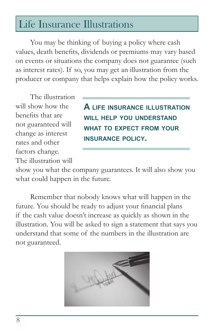## Life Insurance Illustrations

You may be thinking of buying a policy where cash values, death benefits, dividends or premiums may vary based on events or situations the company does not guarantee (such as interest rates). If so, you may get an illustration from the producer or company that helps explain how the policy works.

The illustration will show how the benefits that are not guaranteed will change as interest rates and other factors change. The illustration will

**A life insurance illustration will help you understand what to expect from your insurance policy.**

show you what the company guarantees. It will also show you what could happen in the future.

Remember that nobody knows what will happen in the future. You should be ready to adjust your financial plans if the cash value doesn't increase as quickly as shown in the illustration. You will be asked to sign a statement that says you understand that some of the numbers in the illustration are not guaranteed.

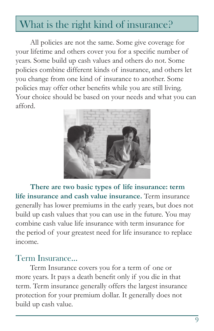## What is the right kind of insurance?

All policies are not the same. Some give coverage for your lifetime and others cover you for a specific number of years. Some build up cash values and others do not. Some policies combine different kinds of insurance, and others let you change from one kind of insurance to another. Some policies may offer other benefits while you are still living. Your choice should be based on your needs and what you can afford.



**There are two basic types of life insurance: term life insurance and cash value insurance.** Term insurance generally has lower premiums in the early years, but does not build up cash values that you can use in the future. You may combine cash value life insurance with term insurance for the period of your greatest need for life insurance to replace income.

#### Term Insurance...

Term Insurance covers you for a term of one or more years. It pays a death benefit only if you die in that term. Term insurance generally offers the largest insurance protection for your premium dollar. It generally does not build up cash value.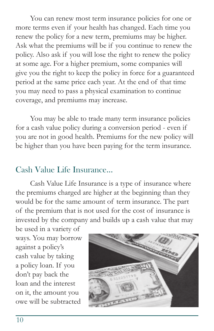You can renew most term insurance policies for one or more terms even if your health has changed. Each time you renew the policy for a new term, premiums may be higher. Ask what the premiums will be if you continue to renew the policy. Also ask if you will lose the right to renew the policy at some age. For a higher premium, some companies will give you the right to keep the policy in force for a guaranteed period at the same price each year. At the end of that time you may need to pass a physical examination to continue coverage, and premiums may increase.

You may be able to trade many term insurance policies for a cash value policy during a conversion period - even if you are not in good health. Premiums for the new policy will be higher than you have been paying for the term insurance.

#### Cash Value Life Insurance...

Cash Value Life Insurance is a type of insurance where the premiums charged are higher at the beginning than they would be for the same amount of term insurance. The part of the premium that is not used for the cost of insurance is invested by the company and builds up a cash value that may

be used in a variety of ways. You may borrow against a policy's cash value by taking a policy loan. If you don't pay back the loan and the interest on it, the amount you owe will be subtracted

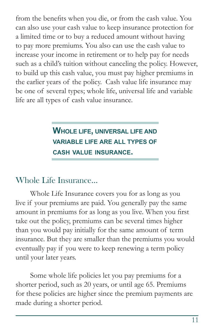from the benefits when you die, or from the cash value. You can also use your cash value to keep insurance protection for a limited time or to buy a reduced amount without having to pay more premiums. You also can use the cash value to increase your income in retirement or to help pay for needs such as a child's tuition without canceling the policy. However, to build up this cash value, you must pay higher premiums in the earlier years of the policy. Cash value life insurance may be one of several types; whole life, universal life and variable life are all types of cash value insurance.

#### **Whole life, universal life and variable life are all types of cash value insurance.**

#### Whole Life Insurance...

Whole Life Insurance covers you for as long as you live if your premiums are paid. You generally pay the same amount in premiums for as long as you live. When you first take out the policy, premiums can be several times higher than you would pay initially for the same amount of term insurance. But they are smaller than the premiums you would eventually pay if you were to keep renewing a term policy until your later years.

Some whole life policies let you pay premiums for a shorter period, such as 20 years, or until age 65. Premiums for these policies are higher since the premium payments are made during a shorter period.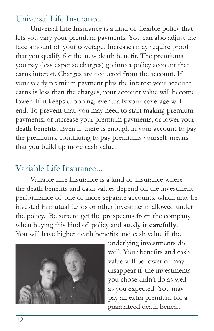#### Universal Life Insurance...

Universal Life Insurance is a kind of flexible policy that lets you vary your premium payments. You can also adjust the face amount of your coverage. Increases may require proof that you qualify for the new death benefit. The premiums you pay (less expense charges) go into a policy account that earns interest. Charges are deducted from the account. If your yearly premium payment plus the interest your account earns is less than the charges, your account value will become lower. If it keeps dropping, eventually your coverage will end. To prevent that, you may need to start making premium payments, or increase your premium payments, or lower your death benefits. Even if there is enough in your account to pay the premiums, continuing to pay premiums yourself means that you build up more cash value.

#### Variable Life Insurance...

Variable Life Insurance is a kind of insurance where the death benefits and cash values depend on the investment performance of one or more separate accounts, which may be invested in mutual funds or other investments allowed under the policy. Be sure to get the prospectus from the company when buying this kind of policy and **study it carefully**. You will have higher death benefits and cash value if the



underlying investments do well. Your benefits and cash value will be lower or may disappear if the investments you chose didn't do as well as you expected. You may pay an extra premium for a guaranteed death benefit.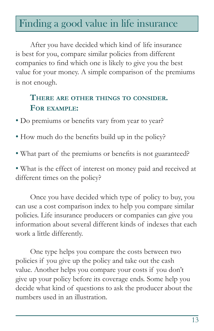### Finding a good value in life insurance

After you have decided which kind of life insurance is best for you, compare similar policies from different companies to find which one is likely to give you the best value for your money. A simple comparison of the premiums is not enough.

#### **There are other things to consider. For example:**

- Do premiums or benefits vary from year to year?
- How much do the benefits build up in the policy?
- What part of the premiums or benefits is not guaranteed?

• What is the effect of interest on money paid and received at different times on the policy?

Once you have decided which type of policy to buy, you can use a cost comparison index to help you compare similar policies. Life insurance producers or companies can give you information about several different kinds of indexes that each work a little differently.

One type helps you compare the costs between two policies if you give up the policy and take out the cash value. Another helps you compare your costs if you don't give up your policy before its coverage ends. Some help you decide what kind of questions to ask the producer about the numbers used in an illustration.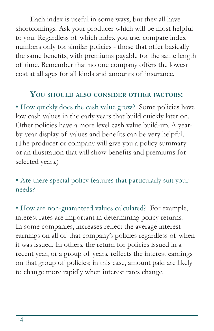Each index is useful in some ways, but they all have shortcomings. Ask your producer which will be most helpful to you. Regardless of which index you use, compare index numbers only for similar policies - those that offer basically the same benefits, with premiums payable for the same length of time. Remember that no one company offers the lowest cost at all ages for all kinds and amounts of insurance.

#### **You should also consider other factors:**

• How quickly does the cash value grow? Some policies have low cash values in the early years that build quickly later on. Other policies have a more level cash value build-up. A yearby-year display of values and benefits can be very helpful. (The producer or company will give you a policy summary or an illustration that will show benefits and premiums for selected years.)

• Are there special policy features that particularly suit your needs?

• How are non-guaranteed values calculated? For example, interest rates are important in determining policy returns. In some companies, increases reflect the average interest earnings on all of that company's policies regardless of when it was issued. In others, the return for policies issued in a recent year, or a group of years, reflects the interest earnings on that group of policies; in this case, amount paid are likely to change more rapidly when interest rates change.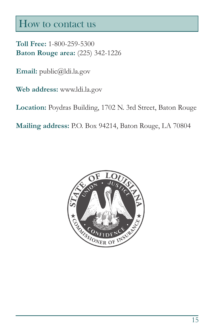#### How to contact us

**Toll Free:** 1-800-259-5300 **Baton Rouge area:** (225) 342-1226

**Email:** public@ldi.la.gov

**Web address:** www.ldi.la.gov

**Location:** Poydras Building, 1702 N. 3rd Street, Baton Rouge

**Mailing address:** P.O. Box 94214, Baton Rouge, LA 70804